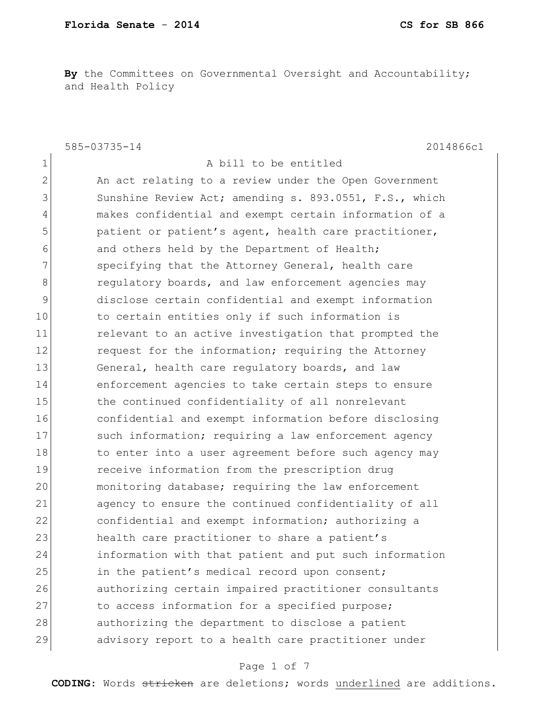**By** the Committees on Governmental Oversight and Accountability; and Health Policy

585-03735-14 2014866c1

1 a bill to be entitled 2 An act relating to a review under the Open Government 3 Sunshine Review Act; amending s. 893.0551, F.S., which 4 makes confidential and exempt certain information of a 5 beta patient or patient's agent, health care practitioner, 6 6 and others held by the Department of Health; 7 Specifying that the Attorney General, health care 8 **8 8 regulatory boards, and law enforcement agencies may** 9 disclose certain confidential and exempt information 10 to certain entities only if such information is 11 **11** relevant to an active investigation that prompted the 12 request for the information; requiring the Attorney 13 General, health care regulatory boards, and law 14 enforcement agencies to take certain steps to ensure 15 the continued confidentiality of all nonrelevant 16 confidential and exempt information before disclosing 17 Such information; requiring a law enforcement agency 18 to enter into a user agreement before such agency may 19 receive information from the prescription drug 20 monitoring database; requiring the law enforcement 21 agency to ensure the continued confidentiality of all 22 confidential and exempt information; authorizing a 23 health care practitioner to share a patient's 24 information with that patient and put such information 25 in the patient's medical record upon consent; 26 authorizing certain impaired practitioner consultants 27 to access information for a specified purpose; 28 authorizing the department to disclose a patient 29 advisory report to a health care practitioner under

### Page 1 of 7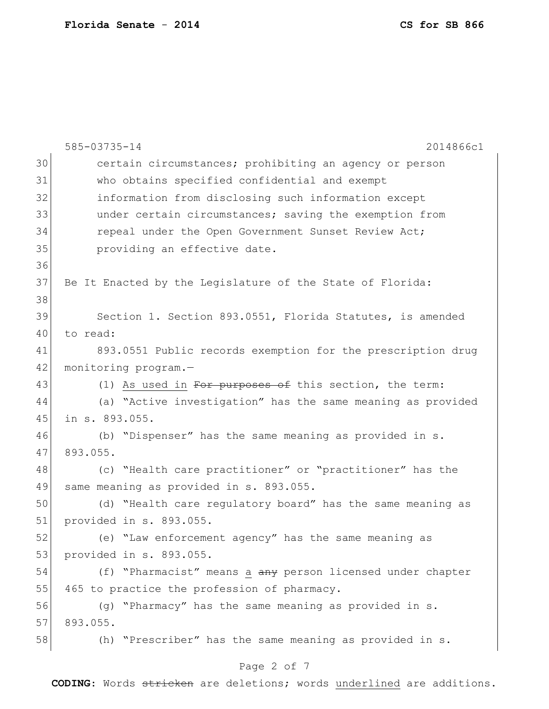|    | 585-03735-14<br>2014866c1                                   |
|----|-------------------------------------------------------------|
| 30 | certain circumstances; prohibiting an agency or person      |
| 31 | who obtains specified confidential and exempt               |
| 32 | information from disclosing such information except         |
| 33 | under certain circumstances; saving the exemption from      |
| 34 | repeal under the Open Government Sunset Review Act;         |
| 35 | providing an effective date.                                |
| 36 |                                                             |
| 37 | Be It Enacted by the Legislature of the State of Florida:   |
| 38 |                                                             |
| 39 | Section 1. Section 893.0551, Florida Statutes, is amended   |
| 40 | to read:                                                    |
| 41 | 893.0551 Public records exemption for the prescription drug |
| 42 | monitoring program.-                                        |
| 43 | (1) As used in For purposes of this section, the term:      |
| 44 | (a) "Active investigation" has the same meaning as provided |
| 45 | in s. 893.055.                                              |
| 46 | (b) "Dispenser" has the same meaning as provided in s.      |
| 47 | 893.055.                                                    |
| 48 | (c) "Health care practitioner" or "practitioner" has the    |
| 49 | same meaning as provided in s. 893.055.                     |
| 50 | (d) "Health care regulatory board" has the same meaning as  |
| 51 | provided in s. 893.055.                                     |
| 52 | (e) "Law enforcement agency" has the same meaning as        |
| 53 | provided in s. 893.055.                                     |
| 54 | (f) "Pharmacist" means a any person licensed under chapter  |
| 55 | 465 to practice the profession of pharmacy.                 |
| 56 | (g) "Pharmacy" has the same meaning as provided in s.       |
| 57 | 893.055.                                                    |
| 58 | (h) "Prescriber" has the same meaning as provided in s.     |
|    | Page 2 of 7                                                 |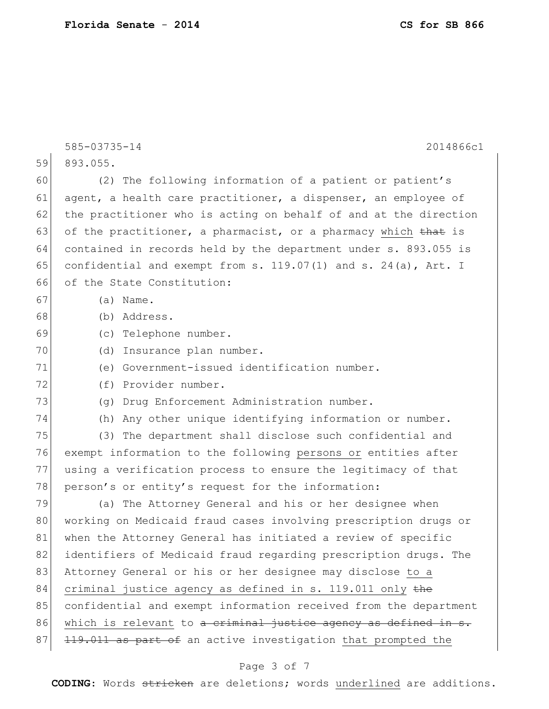585-03735-14 2014866c1 59 893.055. 60 (2) The following information of a patient or patient's 61 agent, a health care practitioner, a dispenser, an employee of 62 the practitioner who is acting on behalf of and at the direction 63 of the practitioner, a pharmacist, or a pharmacy which that is 64 contained in records held by the department under s. 893.055 is 65 confidential and exempt from s.  $119.07(1)$  and s.  $24(a)$ , Art. I 66 of the State Constitution: 67 (a) Name. 68 (b) Address. 69 (c) Telephone number. 70 (d) Insurance plan number. 71 (e) Government-issued identification number. 72 (f) Provider number. 73 (g) Drug Enforcement Administration number. 74 (h) Any other unique identifying information or number. 75 (3) The department shall disclose such confidential and 76 exempt information to the following persons or entities after 77 using a verification process to ensure the legitimacy of that 78 person's or entity's request for the information: 79 (a) The Attorney General and his or her designee when 80 working on Medicaid fraud cases involving prescription drugs or 81 when the Attorney General has initiated a review of specific 82 identifiers of Medicaid fraud regarding prescription drugs. The 83 Attorney General or his or her designee may disclose to a 84 criminal justice agency as defined in s. 119.011 only the 85 confidential and exempt information received from the department 86 which is relevant to a criminal justice agency as defined in s. 87 119.011 as part of an active investigation that prompted the

### Page 3 of 7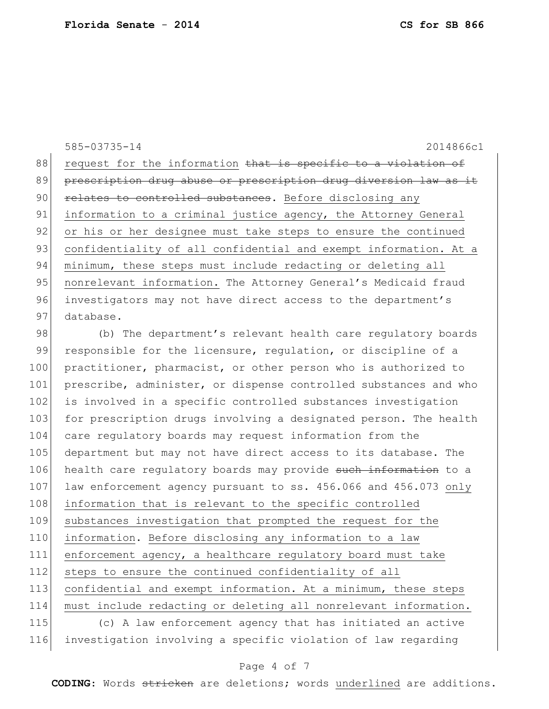585-03735-14 2014866c1 88 request for the information that is specific to a violation of 89 prescription drug abuse or prescription drug diversion law as it 90 **relates to controlled substances.** Before disclosing any 91 information to a criminal justice agency, the Attorney General 92 or his or her designee must take steps to ensure the continued 93 confidentiality of all confidential and exempt information. At a 94 minimum, these steps must include redacting or deleting all 95 | nonrelevant information. The Attorney General's Medicaid fraud 96 investigators may not have direct access to the department's 97 database.

98 (b) The department's relevant health care regulatory boards 99 responsible for the licensure, regulation, or discipline of a 100 practitioner, pharmacist, or other person who is authorized to 101 prescribe, administer, or dispense controlled substances and who 102 is involved in a specific controlled substances investigation 103 for prescription drugs involving a designated person. The health 104 care regulatory boards may request information from the 105 department but may not have direct access to its database. The 106 health care regulatory boards may provide such information to a 107 law enforcement agency pursuant to ss. 456.066 and 456.073 only 108 information that is relevant to the specific controlled 109 substances investigation that prompted the request for the 110 information. Before disclosing any information to a law 111 enforcement agency, a healthcare regulatory board must take 112 steps to ensure the continued confidentiality of all 113 confidential and exempt information. At a minimum, these steps 114 must include redacting or deleting all nonrelevant information. 115 (c) A law enforcement agency that has initiated an active 116 investigation involving a specific violation of law regarding

### Page 4 of 7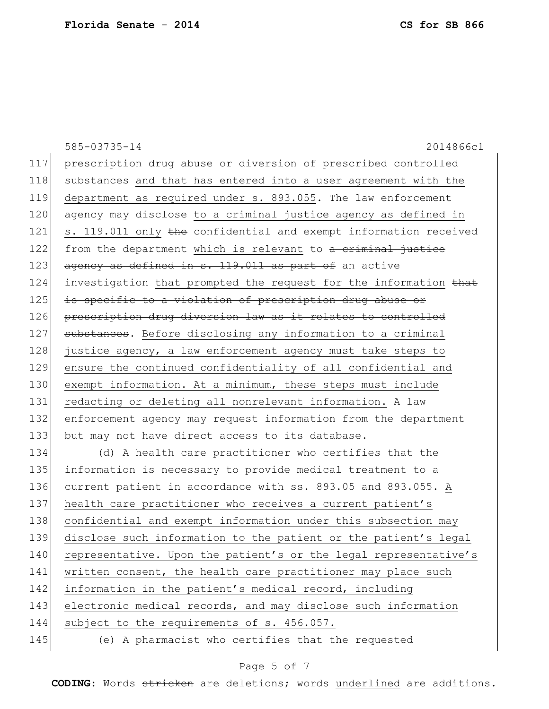585-03735-14 2014866c1 117 prescription drug abuse or diversion of prescribed controlled 118 substances and that has entered into a user agreement with the 119 department as required under s. 893.055. The law enforcement 120 agency may disclose to a criminal justice agency as defined in 121 s. 119.011 only the confidential and exempt information received 122 from the department which is relevant to a criminal justice 123 agency as defined in s. 119.011 as part of an active 124 investigation that prompted the request for the information that 125 is specific to a violation of prescription drug abuse or 126 prescription drug diversion law as it relates to controlled 127 substances. Before disclosing any information to a criminal 128 justice agency, a law enforcement agency must take steps to 129 ensure the continued confidentiality of all confidential and 130 exempt information. At a minimum, these steps must include 131 redacting or deleting all nonrelevant information. A law 132 enforcement agency may request information from the department 133 but may not have direct access to its database. 134 (d) A health care practitioner who certifies that the 135 information is necessary to provide medical treatment to a 136 current patient in accordance with ss. 893.05 and 893.055. A 137 health care practitioner who receives a current patient's 138 confidential and exempt information under this subsection may 139 disclose such information to the patient or the patient's legal 140 representative. Upon the patient's or the legal representative's 141 written consent, the health care practitioner may place such 142 information in the patient's medical record, including 143 electronic medical records, and may disclose such information 144 subject to the requirements of s. 456.057. 145 (e) A pharmacist who certifies that the requested

## Page 5 of 7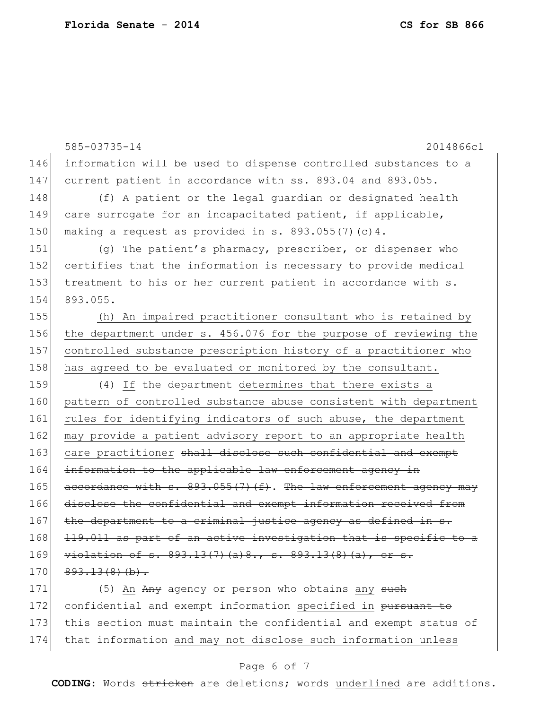|     | 585-03735-14<br>2014866c1                                           |
|-----|---------------------------------------------------------------------|
| 146 | information will be used to dispense controlled substances to a     |
| 147 | current patient in accordance with ss. 893.04 and 893.055.          |
| 148 | (f) A patient or the legal guardian or designated health            |
| 149 | care surrogate for an incapacitated patient, if applicable,         |
| 150 | making a request as provided in s. $893.055(7)(c)4$ .               |
| 151 | (q) The patient's pharmacy, prescriber, or dispenser who            |
| 152 | certifies that the information is necessary to provide medical      |
| 153 | treatment to his or her current patient in accordance with s.       |
| 154 | 893.055.                                                            |
| 155 | (h) An impaired practitioner consultant who is retained by          |
| 156 | the department under s. 456.076 for the purpose of reviewing the    |
| 157 | controlled substance prescription history of a practitioner who     |
| 158 | has agreed to be evaluated or monitored by the consultant.          |
| 159 | (4) If the department determines that there exists a                |
| 160 | pattern of controlled substance abuse consistent with department    |
| 161 | rules for identifying indicators of such abuse, the department      |
| 162 | may provide a patient advisory report to an appropriate health      |
| 163 | care practitioner shall disclose such confidential and exempt       |
| 164 | information to the applicable law enforcement agency in             |
| 165 | accordance with s. 893.055(7)(f). The law enforcement agency may    |
| 166 | disclose the confidential and exempt information received from      |
| 167 | the department to a criminal justice agency as defined in s.        |
| 168 | 119.011 as part of an active investigation that is specific to a    |
| 169 | $viblation$ of $s. 893.13(7)$ (a) $8.7$ $s. 893.13(8)$ (a), or $s.$ |
| 170 | $893.13(8)(b)$ .                                                    |
| 171 | (5) An Any agency or person who obtains any such                    |
| 172 | confidential and exempt information specified in pursuant to        |
| 173 | this section must maintain the confidential and exempt status of    |

# 174 that information and may not disclose such information unless

# Page 6 of 7